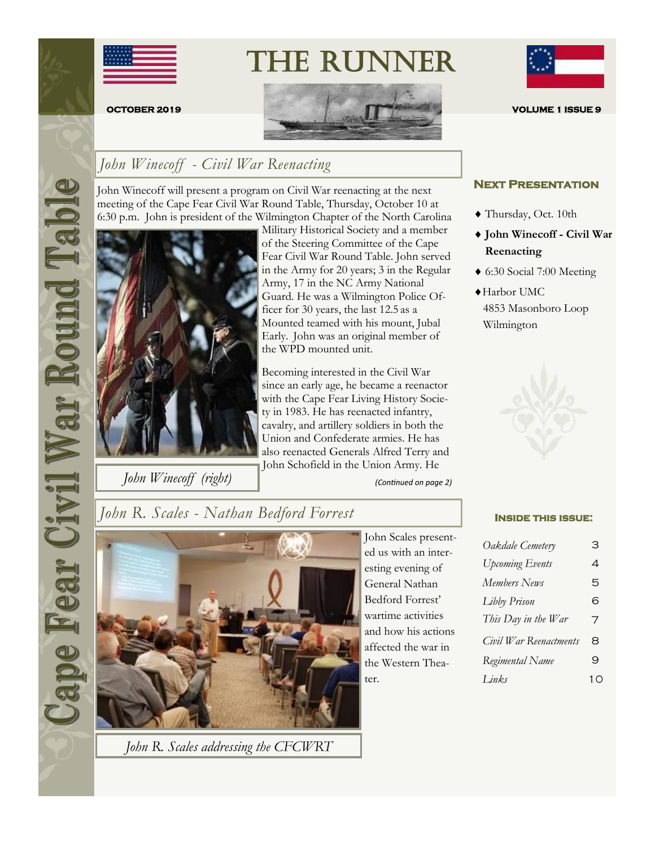

# The Runner



### *John Winecoff - Civil War Reenacting*

John Winecoff will present a program on Civil War reenacting at the next meeting of the Cape Fear Civil War Round Table, Thursday, October 10 at 6:30 p.m. John is president of the Wilmington Chapter of the North Carolina



*John Winecoff (right)*

Military Historical Society and a member of the Steering Committee of the Cape Fear Civil War Round Table. John served in the Army for 20 years; 3 in the Regular Army, 17 in the NC Army National Guard. He was a Wilmington Police Officer for 30 years, the last 12.5 as a Mounted teamed with his mount, Jubal Early. John was an original member of the WPD mounted unit.

Becoming interested in the Civil War since an early age, he became a reenactor with the Cape Fear Living History Society in 1983. He has reenacted infantry, cavalry, and artillery soldiers in both the Union and Confederate armies. He has also reenacted Generals Alfred Terry and John Schofield in the Union Army. He

*(Continued on page 2)*



#### **Next Presentation**

- ◆ Thursday, Oct. 10th
- **John Winecoff - Civil War Reenacting**
- 6:30 Social 7:00 Meeting
- Harbor UMC 4853 Masonboro Loop Wilmington



| Oakdale Cemetery       | З  |
|------------------------|----|
| <b>Upcoming Events</b> | 4  |
| Members News           | 5  |
| Libby Prison           | 6  |
| This Day in the War    | 7  |
| Civil War Reenactments | 8  |
| Regimental Name        | 9  |
| Links                  | 10 |

## *John R. Scales - Nathan Bedford Forrest* **INSIDE THIS ISSUE:**



*John R. Scales addressing the CFCWRT*

John Scales presented us with an interesting evening of General Nathan Bedford Forrest' wartime activities and how his actions affected the war in the Western Theater.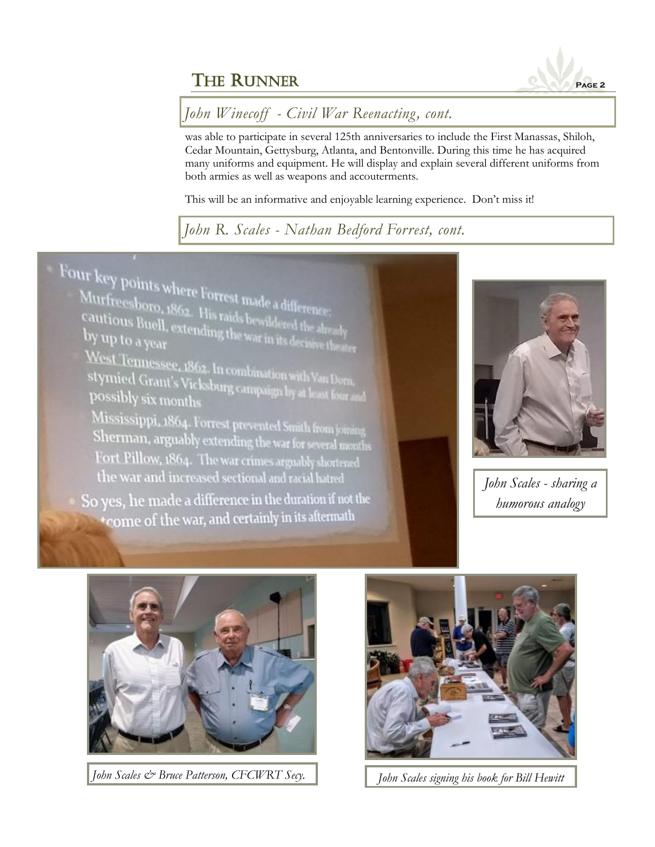

### *John Winecoff - Civil War Reenacting, cont.*

was able to participate in several 125th anniversaries to include the First Manassas, Shiloh, Cedar Mountain, Gettysburg, Atlanta, and Bentonville. During this time he has acquired many uniforms and equipment. He will display and explain several different uniforms from both armies as well as weapons and accouterments.

This will be an informative and enjoyable learning experience. Don't miss it!

### *John R. Scales - Nathan Bedford Forrest, cont.*





*John Scales - sharing a humorous analogy*



*John Scales & Bruce Patterson, CFCWRT Secy. John Scales signing his book for Bill Hewitt*

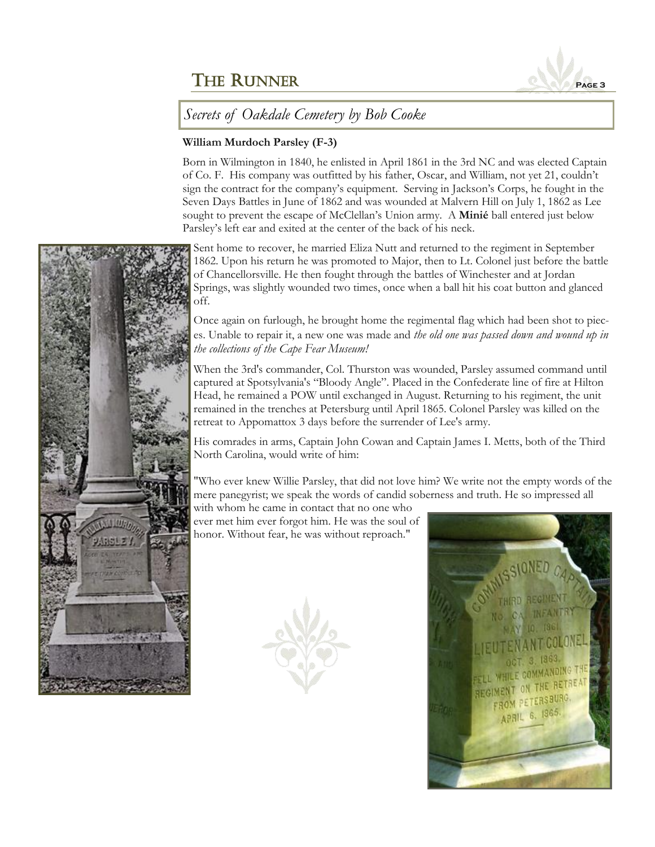

#### *Secrets of Oakdale Cemetery by Bob Cooke*

#### **William Murdoch Parsley (F-3)**

Born in Wilmington in 1840, he enlisted in April 1861 in the 3rd NC and was elected Captain of Co. F. His company was outfitted by his father, Oscar, and William, not yet 21, couldn't sign the contract for the company's equipment. Serving in Jackson's Corps, he fought in the Seven Days Battles in June of 1862 and was wounded at Malvern Hill on July 1, 1862 as Lee sought to prevent the escape of McClellan's Union army. A **Minié** ball entered just below Parsley's left ear and exited at the center of the back of his neck.

Sent home to recover, he married Eliza Nutt and returned to the regiment in September 1862. Upon his return he was promoted to Major, then to Lt. Colonel just before the battle of Chancellorsville. He then fought through the battles of Winchester and at Jordan Springs, was slightly wounded two times, once when a ball hit his coat button and glanced off.

Once again on furlough, he brought home the regimental flag which had been shot to pieces. Unable to repair it, a new one was made and *the old one was passed down and wound up in the collections of the Cape Fear Museum!* 

When the 3rd's commander, Col. Thurston was wounded, Parsley assumed command until captured at Spotsylvania's "Bloody Angle". Placed in the Confederate line of fire at Hilton Head, he remained a POW until exchanged in August. Returning to his regiment, the unit remained in the trenches at Petersburg until April 1865. Colonel Parsley was killed on the retreat to Appomattox 3 days before the surrender of Lee's army.

His comrades in arms, Captain John Cowan and Captain James I. Metts, both of the Third North Carolina, would write of him:

"Who ever knew Willie Parsley, that did not love him? We write not the empty words of the mere panegyrist; we speak the words of candid soberness and truth. He so impressed all

with whom he came in contact that no one who ever met him ever forgot him. He was the soul of honor. Without fear, he was without reproach."





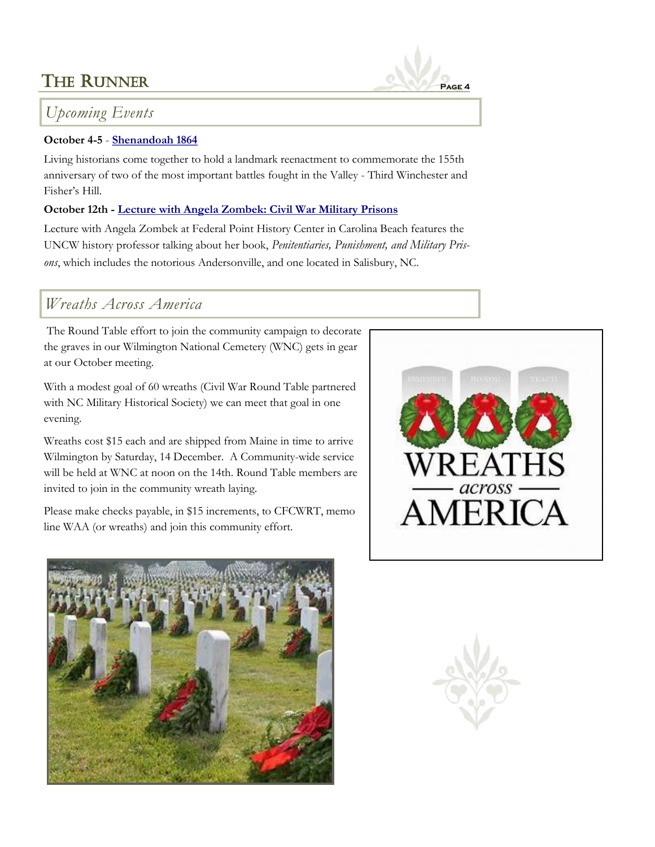### *Upcoming Events*

#### **October 4-5** - **[Shenandoah 1864](http://www.shenandoahatwar.org/shenandoah-64-reenactment/)**

Living historians come together to hold a landmark reenactment to commemorate the 155th anniversary of two of the most important battles fought in the Valley - Third Winchester and Fisher's Hill.

#### **October 12th - [Lecture with Angela Zombek: Civil War Military Prisons](http://www.whatsonwilmington.com/event.php?id=36573)**

Lecture with Angela Zombek at Federal Point History Center in Carolina Beach features the UNCW history professor talking about her book, *Penitentiaries, Punishment, and Military Prisons*, which includes the notorious Andersonville, and one located in Salisbury, NC.

### *Wreaths Across America*

The Round Table effort to join the community campaign to decorate the graves in our Wilmington National Cemetery (WNC) gets in gear at our October meeting.

With a modest goal of 60 wreaths (Civil War Round Table partnered with NC Military Historical Society) we can meet that goal in one evening.

Wreaths cost \$15 each and are shipped from Maine in time to arrive Wilmington by Saturday, 14 December. A Community-wide service will be held at WNC at noon on the 14th. Round Table members are invited to join in the community wreath laying.

Please make checks payable, in \$15 increments, to CFCWRT, memo line WAA (or wreaths) and join this community effort.





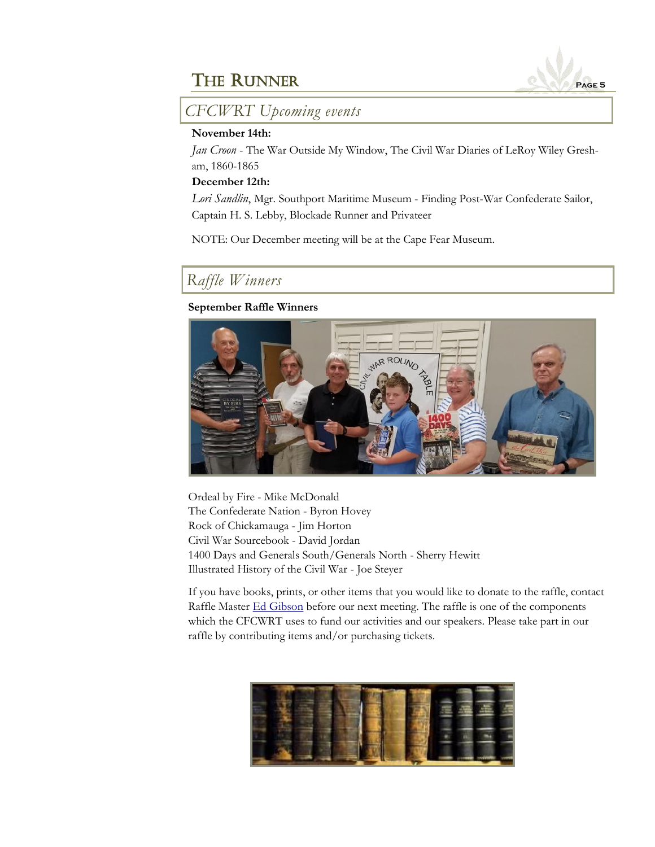

*CFCWRT Upcoming events*

#### **November 14th:**

*Jan Croon* - The War Outside My Window, The Civil War Diaries of LeRoy Wiley Gresham, 1860-1865

#### **December 12th:**

*Lori Sandlin*, Mgr. Southport Maritime Museum - Finding Post-War Confederate Sailor, Captain H. S. Lebby, Blockade Runner and Privateer

NOTE: Our December meeting will be at the Cape Fear Museum.

### *Raffle Winners*

#### **September Raffle Winners**



Ordeal by Fire - Mike McDonald The Confederate Nation - Byron Hovey Rock of Chickamauga - Jim Horton Civil War Sourcebook - David Jordan 1400 Days and Generals South/Generals North - Sherry Hewitt Illustrated History of the Civil War - Joe Steyer

If you have books, prints, or other items that you would like to donate to the raffle, contact Raffle Master [Ed Gibson](mailto:egibson759@aol.com) before our next meeting. The raffle is one of the components which the CFCWRT uses to fund our activities and our speakers. Please take part in our raffle by contributing items and/or purchasing tickets.

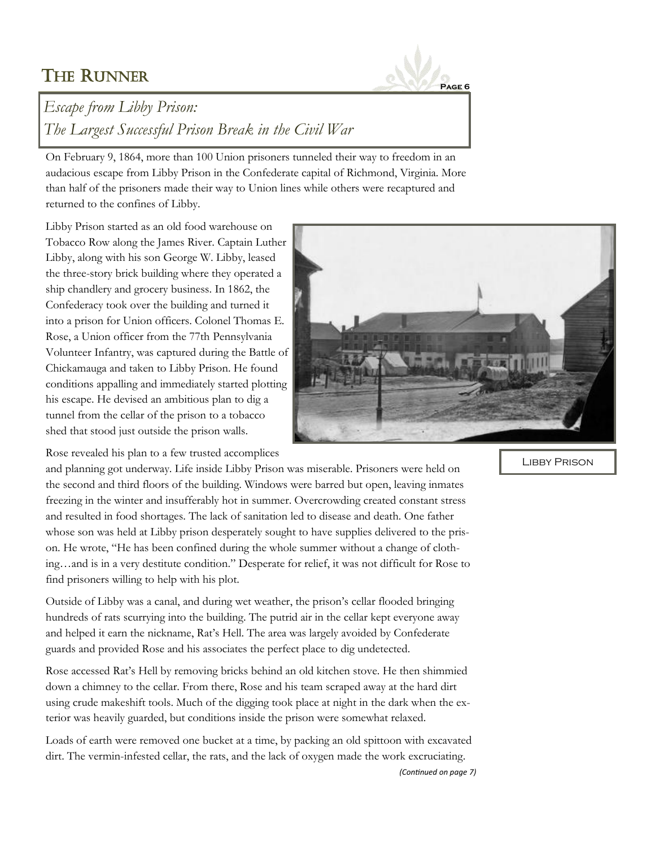## THE RUNNER



*(Continued on page 7)*

### *Escape from Libby Prison: The Largest Successful Prison Break in the Civil War*

On February 9, 1864, more than 100 Union prisoners tunneled their way to freedom in an audacious escape from Libby Prison in the Confederate capital of Richmond, Virginia. More than half of the prisoners made their way to Union lines while others were recaptured and returned to the confines of Libby.

Libby Prison started as an old food warehouse on Tobacco Row along the James River. Captain Luther Libby, along with his son George W. Libby, leased the three-story brick building where they operated a ship chandlery and grocery business. In 1862, the Confederacy took over the building and turned it into a prison for Union officers. Colonel Thomas E. Rose, a Union officer from the 77th Pennsylvania Volunteer Infantry, was captured during the Battle of Chickamauga and taken to Libby Prison. He found conditions appalling and immediately started plotting his escape. He devised an ambitious plan to dig a tunnel from the cellar of the prison to a tobacco shed that stood just outside the prison walls.

Rose revealed his plan to a few trusted accomplices

and planning got underway. Life inside Libby Prison was miserable. Prisoners were held on the second and third floors of the building. Windows were barred but open, leaving inmates freezing in the winter and insufferably hot in summer. Overcrowding created constant stress and resulted in food shortages. The lack of sanitation led to disease and death. One father whose son was held at Libby prison desperately sought to have supplies delivered to the prison. He wrote, "He has been confined during the whole summer without a change of clothing…and is in a very destitute condition." Desperate for relief, it was not difficult for Rose to find prisoners willing to help with his plot.

Outside of Libby was a canal, and during wet weather, the prison's cellar flooded bringing hundreds of rats scurrying into the building. The putrid air in the cellar kept everyone away and helped it earn the nickname, Rat's Hell. The area was largely avoided by Confederate guards and provided Rose and his associates the perfect place to dig undetected.

Rose accessed Rat's Hell by removing bricks behind an old kitchen stove. He then shimmied down a chimney to the cellar. From there, Rose and his team scraped away at the hard dirt using crude makeshift tools. Much of the digging took place at night in the dark when the exterior was heavily guarded, but conditions inside the prison were somewhat relaxed.

Loads of earth were removed one bucket at a time, by packing an old spittoon with excavated dirt. The vermin-infested cellar, the rats, and the lack of oxygen made the work excruciating.

Libby Prison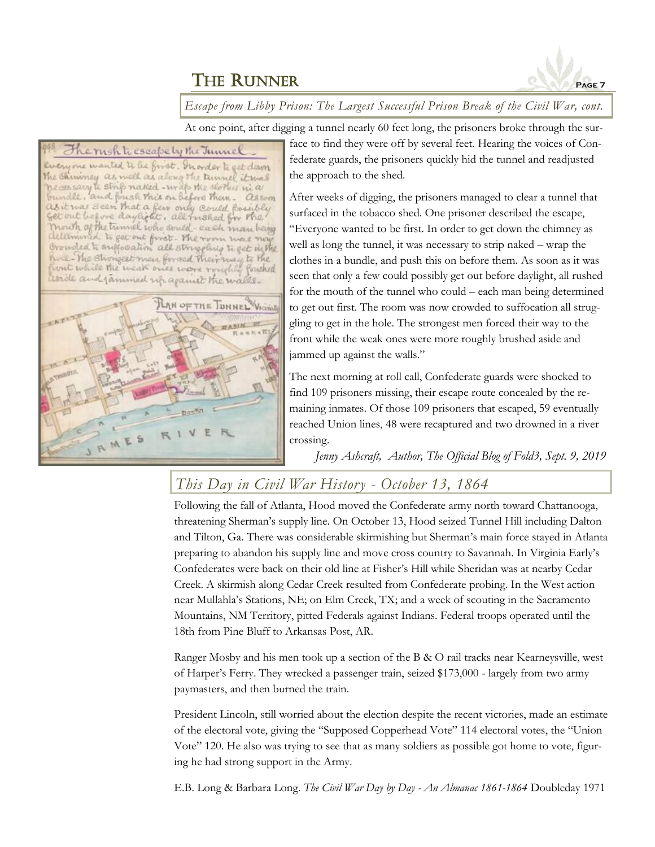

*Escape from Libby Prison: The Largest Successful Prison Break of the Civil War, cont.*

At one point, after digging a tunnel nearly 60 feet long, the prisoners broke through the sur-

#### The rush to escape by the Junnel

Everyone wanted to be first. Inorder to get down The Chinimay as well as along the tunnel it was recessary to strip naked - write the storked ni a bundle, and frish this or before them. assom<br>as it was seen that a few only could fossibly<br>get out before daylight, all fushed for the mouth of the tunnel who could-each man being Ulminish to get out first. The room were new Orruded to sufforation all struggling to get in the have The strongest men forced their may to the aside and jammed up against the walls.



face to find they were off by several feet. Hearing the voices of Confederate guards, the prisoners quickly hid the tunnel and readjusted the approach to the shed.

After weeks of digging, the prisoners managed to clear a tunnel that surfaced in the tobacco shed. One prisoner described the escape, "Everyone wanted to be first. In order to get down the chimney as well as long the tunnel, it was necessary to strip naked – wrap the clothes in a bundle, and push this on before them. As soon as it was seen that only a few could possibly get out before daylight, all rushed for the mouth of the tunnel who could – each man being determined to get out first. The room was now crowded to suffocation all struggling to get in the hole. The strongest men forced their way to the front while the weak ones were more roughly brushed aside and jammed up against the walls."

The next morning at roll call, Confederate guards were shocked to find 109 prisoners missing, their escape route concealed by the remaining inmates. Of those 109 prisoners that escaped, 59 eventually reached Union lines, 48 were recaptured and two drowned in a river crossing.

*Jenny Ashcraft, Author, The Official Blog of Fold3, Sept. 9, 2019*

### *This Day in Civil War History - October 13, 1864*

Following the fall of Atlanta, Hood moved the Confederate army north toward Chattanooga, threatening Sherman's supply line. On October 13, Hood seized Tunnel Hill including Dalton and Tilton, Ga. There was considerable skirmishing but Sherman's main force stayed in Atlanta preparing to abandon his supply line and move cross country to Savannah. In Virginia Early's Confederates were back on their old line at Fisher's Hill while Sheridan was at nearby Cedar Creek. A skirmish along Cedar Creek resulted from Confederate probing. In the West action near Mullahla's Stations, NE; on Elm Creek, TX; and a week of scouting in the Sacramento Mountains, NM Territory, pitted Federals against Indians. Federal troops operated until the 18th from Pine Bluff to Arkansas Post, AR.

Ranger Mosby and his men took up a section of the B & O rail tracks near Kearneysville, west of Harper's Ferry. They wrecked a passenger train, seized \$173,000 - largely from two army paymasters, and then burned the train.

President Lincoln, still worried about the election despite the recent victories, made an estimate of the electoral vote, giving the "Supposed Copperhead Vote" 114 electoral votes, the "Union Vote" 120. He also was trying to see that as many soldiers as possible got home to vote, figuring he had strong support in the Army.

E.B. Long & Barbara Long. *The Civil War Day by Day - An Almanac 1861-1864* Doubleday 1971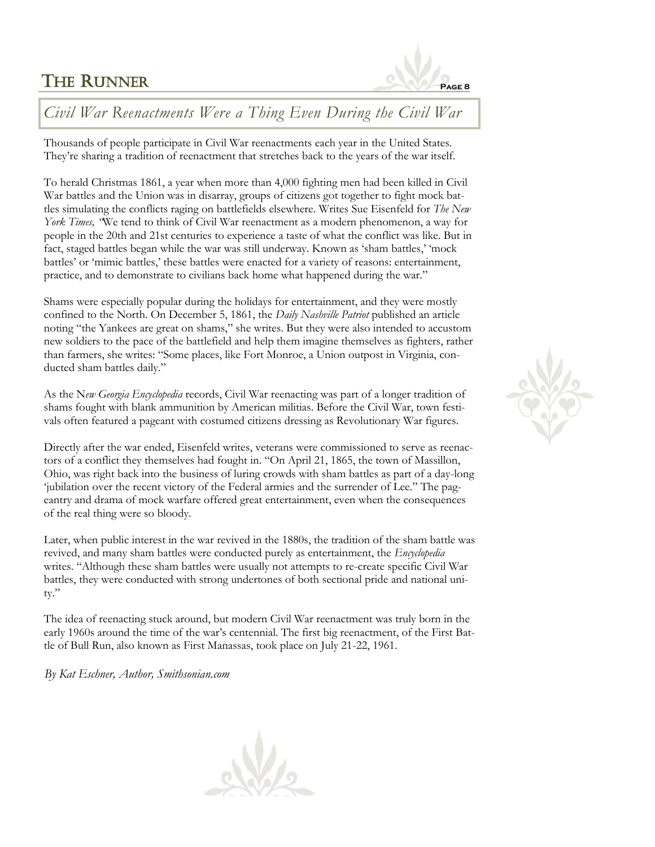### **THE RUNNER**



### *Civil War Reenactments Were a Thing Even During the Civil War*

Thousands of people participate in Civil War reenactments each year in the United States. They're sharing a tradition of reenactment that stretches back to the years of the war itself.

To herald Christmas 1861, a year when more than 4,000 fighting men had been killed in Civil War battles and the Union was in disarray, groups of citizens got together to fight mock battles simulating the conflicts raging on battlefields elsewhere. Writes Sue Eisenfeld for *The New York Times, "*We tend to think of Civil War reenactment as a modern phenomenon, a way for people in the 20th and 21st centuries to experience a taste of what the conflict was like. But in fact, staged battles began while the war was still underway. Known as 'sham battles,' 'mock battles' or 'mimic battles,' these battles were enacted for a variety of reasons: entertainment, practice, and to demonstrate to civilians back home what happened during the war."

Shams were especially popular during the holidays for entertainment, and they were mostly confined to the North. On December 5, 1861, the *Daily Nashville Patriot* published an article noting "the Yankees are great on shams," she writes. But they were also intended to accustom new soldiers to the pace of the battlefield and help them imagine themselves as fighters, rather than farmers, she writes: "Some places, like Fort Monroe, a Union outpost in Virginia, conducted sham battles daily."

As the N*ew Georgia Encyclopedia* records, Civil War reenacting was part of a longer tradition of shams fought with blank ammunition by American militias. Before the Civil War, town festivals often featured a pageant with costumed citizens dressing as Revolutionary War figures.

Directly after the war ended, Eisenfeld writes, veterans were commissioned to serve as reenactors of a conflict they themselves had fought in. "On April 21, 1865, the town of Massillon, Ohio, was right back into the business of luring crowds with sham battles as part of a day-long 'jubilation over the recent victory of the Federal armies and the surrender of Lee." The pageantry and drama of mock warfare offered great entertainment, even when the consequences of the real thing were so bloody.

Later, when public interest in the war revived in the 1880s, the tradition of the sham battle was revived, and many sham battles were conducted purely as entertainment, the *Encyclopedia*  writes. "Although these sham battles were usually not attempts to re-create specific Civil War battles, they were conducted with strong undertones of both sectional pride and national unity."

The idea of reenacting stuck around, but modern Civil War reenactment was truly born in the early 1960s around the time of the war's centennial. The first big reenactment, of the First Battle of Bull Run, also known as First Manassas, took place on July 21-22, 1961.

*By Kat Eschner, Author, Smithsonian.com*



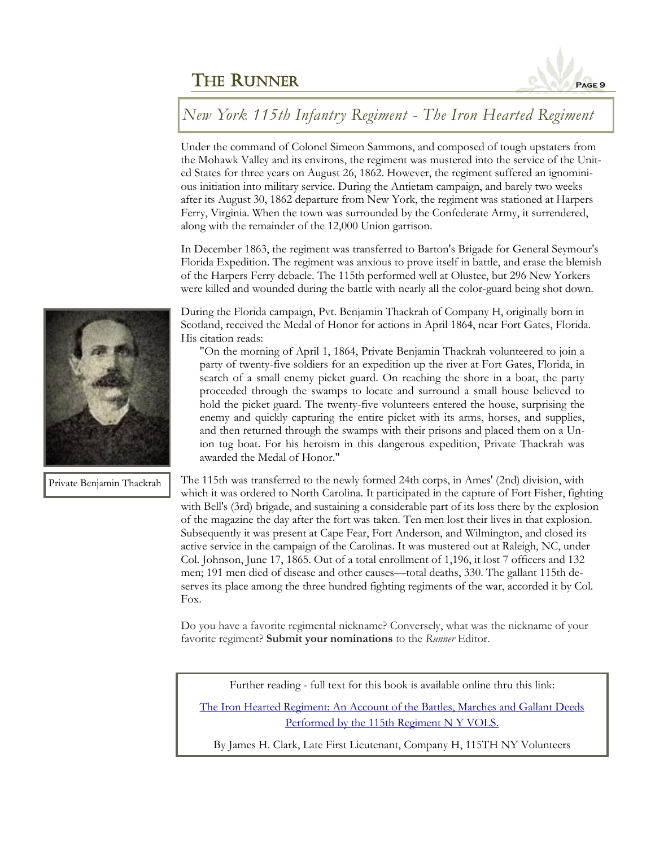

### *New York 115th Infantry Regiment - The Iron Hearted Regiment*

Under the command of Colonel Simeon Sammons, and composed of tough upstaters from the Mohawk Valley and its environs, the regiment was mustered into the service of the United States for three years on August 26, 1862. However, the regiment suffered an ignominious initiation into military service. During the Antietam campaign, and barely two weeks after its August 30, 1862 departure from New York, the regiment was stationed at Harpers Ferry, Virginia. When the town was surrounded by the Confederate Army, it surrendered, along with the remainder of the 12,000 Union garrison.

In December 1863, the regiment was transferred to Barton's Brigade for General Seymour's Florida Expedition. The regiment was anxious to prove itself in battle, and erase the blemish of the Harpers Ferry debacle. The 115th performed well at Olustee, but 296 New Yorkers were killed and wounded during the battle with nearly all the color-guard being shot down.

During the Florida campaign, Pvt. Benjamin Thackrah of Company H, originally born in Scotland, received the Medal of Honor for actions in April 1864, near Fort Gates, Florida. His citation reads:

"On the morning of April 1, 1864, Private Benjamin Thackrah volunteered to join a party of twenty-five soldiers for an expedition up the river at Fort Gates, Florida, in search of a small enemy picket guard. On reaching the shore in a boat, the party proceeded through the swamps to locate and surround a small house believed to hold the picket guard. The twenty-five volunteers entered the house, surprising the enemy and quickly capturing the entire picket with its arms, horses, and supplies, and then returned through the swamps with their prisons and placed them on a Union tug boat. For his heroism in this dangerous expedition, Private Thackrah was awarded the Medal of Honor."

The 115th was transferred to the newly formed 24th corps, in Ames' (2nd) division, with which it was ordered to North Carolina. It participated in the capture of Fort Fisher, fighting with Bell's (3rd) brigade, and sustaining a considerable part of its loss there by the explosion of the magazine the day after the fort was taken. Ten men lost their lives in that explosion. Subsequently it was present at Cape Fear, Fort Anderson, and Wilmington, and closed its active service in the campaign of the Carolinas. It was mustered out at Raleigh, NC, under Col. Johnson, June 17, 1865. Out of a total enrollment of 1,196, it lost 7 officers and 132 men; 191 men died of disease and other causes—total deaths, 330. The gallant 115th deserves its place among the three hundred fighting regiments of the war, accorded it by Col. Fox.

Do you have a favorite regimental nickname? Conversely, what was the nickname of your favorite regiment? **Submit your nominations** to the *Runner* Editor.

Further reading - full text for this book is available online thru this link:

[The Iron Hearted Regiment: An Account of the Battles, Marches and Gallant Deeds](http://dmna.ny.gov/historic/reghist/civil/infantry/115thInf/115thInfIronHeartedTitle.htm) [Performed by the 115th Regiment N Y VOLS.](http://dmna.ny.gov/historic/reghist/civil/infantry/115thInf/115thInfIronHeartedTitle.htm)

By James H. Clark, Late First Lieutenant, Company H, 115TH NY Volunteers



Private Benjamin Thackrah